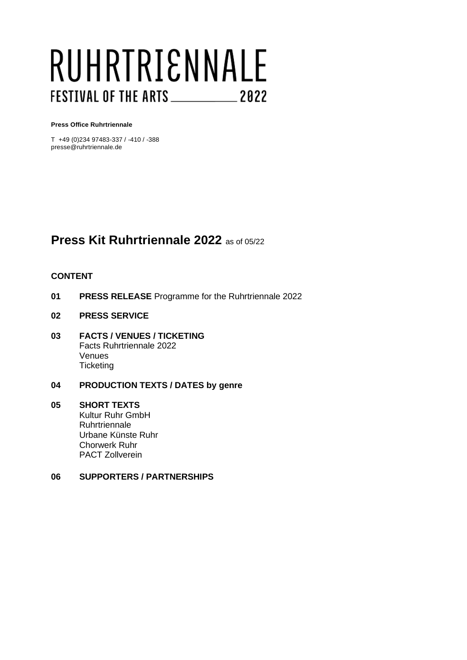# RUHRTRIENNALE FESTIVAL OF THE ARTS \_\_\_\_\_\_\_\_\_\_\_\_\_ 2022

#### **Press Office Ruhrtriennale**

T +49 (0)234 97483-337 / -410 / -388 presse@ruhrtriennale.de

# **Press Kit Ruhrtriennale 2022** as of 05/22

#### **CONTENT**

- **01 PRESS RELEASE** Programme for the Ruhrtriennale 2022
- **02 PRESS SERVICE**
- **03 FACTS / VENUES / TICKETING** Facts Ruhrtriennale 2022 Venues **Ticketing**

#### **04 PRODUCTION TEXTS / DATES by genre**

#### **05 SHORT TEXTS** Kultur Ruhr GmbH **Ruhrtriennale** Urbane Künste Ruhr Chorwerk Ruhr PACT Zollverein

#### **06 SUPPORTERS / PARTNERSHIPS**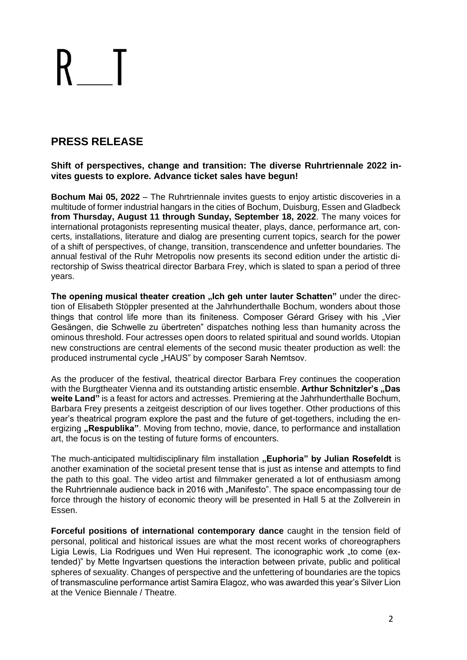# **PRESS RELEASE**

**Shift of perspectives, change and transition: The diverse Ruhrtriennale 2022 invites guests to explore. Advance ticket sales have begun!**

**Bochum Mai 05, 2022** – The Ruhrtriennale invites guests to enjoy artistic discoveries in a multitude of former industrial hangars in the cities of Bochum, Duisburg, Essen and Gladbeck **from Thursday, August 11 through Sunday, September 18, 2022**. The many voices for international protagonists representing musical theater, plays, dance, performance art, concerts, installations, literature and dialog are presenting current topics, search for the power of a shift of perspectives, of change, transition, transcendence and unfetter boundaries. The annual festival of the Ruhr Metropolis now presents its second edition under the artistic directorship of Swiss theatrical director Barbara Frey, which is slated to span a period of three years.

The opening musical theater creation "Ich geh unter lauter Schatten" under the direction of Elisabeth Stöppler presented at the Jahrhunderthalle Bochum, wonders about those things that control life more than its finiteness. Composer Gérard Grisey with his "Vier Gesängen, die Schwelle zu übertreten" dispatches nothing less than humanity across the ominous threshold. Four actresses open doors to related spiritual and sound worlds. Utopian new constructions are central elements of the second music theater production as well: the produced instrumental cycle "HAUS" by composer Sarah Nemtsov.

As the producer of the festival, theatrical director Barbara Frey continues the cooperation with the Burgtheater Vienna and its outstanding artistic ensemble. **Arthur Schnitzler's "Das weite Land"** is a feast for actors and actresses. Premiering at the Jahrhunderthalle Bochum, Barbara Frey presents a zeitgeist description of our lives together. Other productions of this year's theatrical program explore the past and the future of get-togethers, including the energizing **"Respublika**". Moving from techno, movie, dance, to performance and installation art, the focus is on the testing of future forms of encounters.

The much-anticipated multidisciplinary film installation "Euphoria" by Julian Rosefeldt is another examination of the societal present tense that is just as intense and attempts to find the path to this goal. The video artist and filmmaker generated a lot of enthusiasm among the Ruhrtriennale audience back in 2016 with "Manifesto". The space encompassing tour de force through the history of economic theory will be presented in Hall 5 at the Zollverein in Essen.

**Forceful positions of international contemporary dance** caught in the tension field of personal, political and historical issues are what the most recent works of choreographers Ligia Lewis, Lia Rodrigues und Wen Hui represent. The iconographic work "to come (extended)" by Mette Ingvartsen questions the interaction between private, public and political spheres of sexuality. Changes of perspective and the unfettering of boundaries are the topics of transmasculine performance artist Samira Elagoz, who was awarded this year's Silver Lion at the Venice Biennale / Theatre.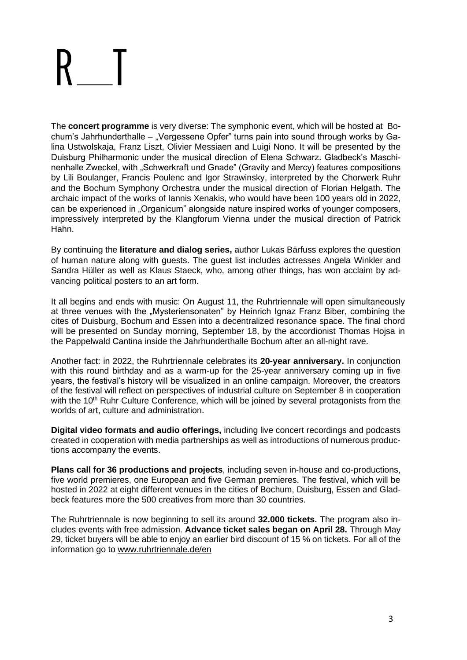The **concert programme** is very diverse: The symphonic event, which will be hosted at Bochum's Jahrhunderthalle – "Vergessene Opfer" turns pain into sound through works by Galina Ustwolskaja, Franz Liszt, Olivier Messiaen and Luigi Nono. It will be presented by the Duisburg Philharmonic under the musical direction of Elena Schwarz. Gladbeck's Maschinenhalle Zweckel, with "Schwerkraft und Gnade" (Gravity and Mercy) features compositions by Lili Boulanger, Francis Poulenc and Igor Strawinsky, interpreted by the Chorwerk Ruhr and the Bochum Symphony Orchestra under the musical direction of Florian Helgath. The archaic impact of the works of Iannis Xenakis, who would have been 100 years old in 2022, can be experienced in "Organicum" alongside nature inspired works of younger composers, impressively interpreted by the Klangforum Vienna under the musical direction of Patrick Hahn.

By continuing the **literature and dialog series,** author Lukas Bärfuss explores the question of human nature along with guests. The guest list includes actresses Angela Winkler and Sandra Hüller as well as Klaus Staeck, who, among other things, has won acclaim by advancing political posters to an art form.

It all begins and ends with music: On August 11, the Ruhrtriennale will open simultaneously at three venues with the "Mysteriensonaten" by Heinrich Ignaz Franz Biber, combining the cites of Duisburg, Bochum and Essen into a decentralized resonance space. The final chord will be presented on Sunday morning, September 18, by the accordionist Thomas Hojsa in the Pappelwald Cantina inside the Jahrhunderthalle Bochum after an all-night rave.

Another fact: in 2022, the Ruhrtriennale celebrates its **20-year anniversary.** In conjunction with this round birthday and as a warm-up for the 25-year anniversary coming up in five years, the festival's history will be visualized in an online campaign. Moreover, the creators of the festival will reflect on perspectives of industrial culture on September 8 in cooperation with the 10<sup>th</sup> Ruhr Culture Conference, which will be joined by several protagonists from the worlds of art, culture and administration.

**Digital video formats and audio offerings,** including live concert recordings and podcasts created in cooperation with media partnerships as well as introductions of numerous productions accompany the events.

**Plans call for 36 productions and projects**, including seven in-house and co-productions, five world premieres, one European and five German premieres. The festival, which will be hosted in 2022 at eight different venues in the cities of Bochum, Duisburg, Essen and Gladbeck features more the 500 creatives from more than 30 countries.

The Ruhrtriennale is now beginning to sell its around **32.000 tickets.** The program also includes events with free admission. **Advance ticket sales began on April 28.** Through May 29, ticket buyers will be able to enjoy an earlier bird discount of 15 % on tickets. For all of the information go to [www.ruhrtriennale.de/en](https://www.ruhrtriennale.de/en/)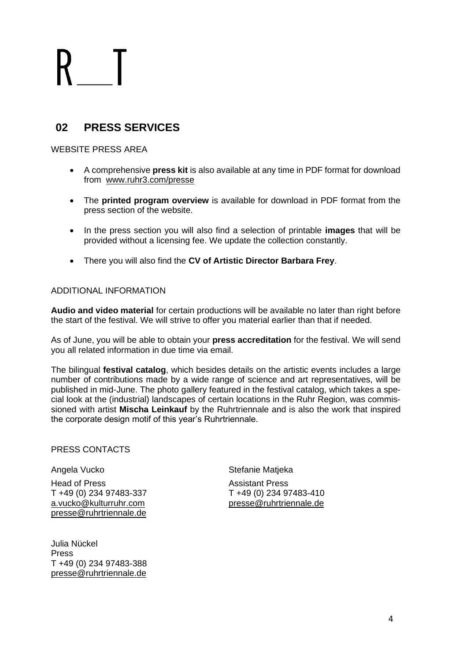# **02 PRESS SERVICES**

### WEBSITE PRESS AREA

- A comprehensive **press kit** is also available at any time in PDF format for download from [www.ruhr3.com/presse](https://www.ruhrtriennale.de/en/presse)
- The **printed program overview** is available for download in PDF format from the press section of the website.
- In the press section you will also find a selection of printable **images** that will be provided without a licensing fee. We update the collection constantly.
- There you will also find the **CV of Artistic Director Barbara Frey**.

### ADDITIONAL INFORMATION

**Audio and video material** for certain productions will be available no later than right before the start of the festival. We will strive to offer you material earlier than that if needed.

As of June, you will be able to obtain your **press accreditation** for the festival. We will send you all related information in due time via email.

The bilingual **festival catalog**, which besides details on the artistic events includes a large number of contributions made by a wide range of science and art representatives, will be published in mid-June. The photo gallery featured in the festival catalog, which takes a special look at the (industrial) landscapes of certain locations in the Ruhr Region, was commissioned with artist **Mischa Leinkauf** by the Ruhrtriennale and is also the work that inspired the corporate design motif of this year's Ruhrtriennale.

#### PRESS CONTACTS

#### Angela Vucko

Head of Press T +49 (0) 234 97483-337 [a.vucko@kulturruhr.com](mailto:a.vucko@kulturruhr.com) [presse@ruhrtriennale.de](mailto:presse@ruhrtriennale.de)

Julia Nückel Press T +49 (0) 234 97483-388 [presse@ruhrtriennale.de](mailto:presse@ruhrtriennale.de) Stefanie Matjeka

Assistant Press T +49 (0) 234 97483-410 [presse@ruhrtriennale.de](mailto:presse@ruhrtriennale.de)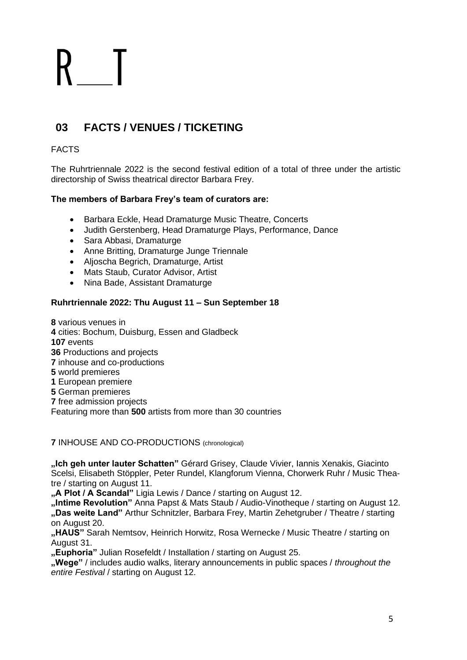# **03 FACTS / VENUES / TICKETING**

### FACTS

The Ruhrtriennale 2022 is the second festival edition of a total of three under the artistic directorship of Swiss theatrical director Barbara Frey.

### **The members of Barbara Frey's team of curators are:**

- Barbara Eckle, Head Dramaturge Music Theatre, Concerts
- Judith Gerstenberg, Head Dramaturge Plays, Performance, Dance
- Sara Abbasi, Dramaturge
- Anne Britting, Dramaturge Junge Triennale
- Aljoscha Begrich, Dramaturge, Artist
- Mats Staub, Curator Advisor, Artist
- Nina Bade, Assistant Dramaturge

### **Ruhrtriennale 2022: Thu August 11 – Sun September 18**

various venues in cities: Bochum, Duisburg, Essen and Gladbeck **107** events Productions and projects inhouse and co-productions world premieres European premiere German premieres free admission projects Featuring more than **500** artists from more than 30 countries

**7** INHOUSE AND CO-PRODUCTIONS (chronological)

**"Ich geh unter lauter Schatten"** Gérard Grisey, Claude Vivier, Iannis Xenakis, Giacinto Scelsi, Elisabeth Stöppler, Peter Rundel, Klangforum Vienna, Chorwerk Ruhr / Music Theatre / starting on August 11.

**"A Plot / A Scandal"** Ligia Lewis / Dance / starting on August 12.

**"Intime Revolution"** Anna Papst & Mats Staub / Audio-Vinotheque / starting on August 12. **"Das weite Land"** Arthur Schnitzler, Barbara Frey, Martin Zehetgruber / Theatre / starting on August 20.

**"HAUS"** Sarah Nemtsov, Heinrich Horwitz, Rosa Wernecke / Music Theatre / starting on August 31.

**"Euphoria"** Julian Rosefeldt / Installation / starting on August 25.

**"Wege"** / includes audio walks, literary announcements in public spaces / *throughout the entire Festival* / starting on August 12.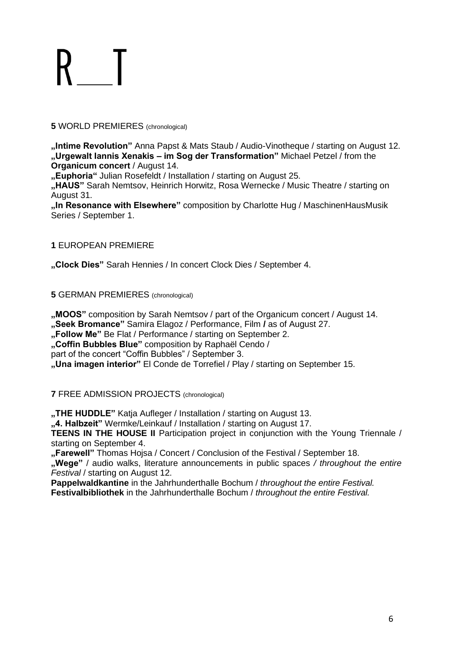#### **5** WORLD PREMIERES (chronological)

**"Intime Revolution"** Anna Papst & Mats Staub / Audio-Vinotheque / starting on August 12. **"Urgewalt Iannis Xenakis – im Sog der Transformation"** Michael Petzel / from the **Organicum concert** / August 14.

**"Euphoria"** Julian Rosefeldt / Installation / starting on August 25.

**"HAUS"** Sarah Nemtsov, Heinrich Horwitz, Rosa Wernecke / Music Theatre / starting on August 31.

**"In Resonance with Elsewhere"** composition by Charlotte Hug / MaschinenHausMusik Series / September 1.

### **1** EUROPEAN PREMIERE

**"Clock Dies"** Sarah Hennies / In concert Clock Dies / September 4.

**5** GERMAN PREMIERES (chronological)

**"MOOS"** composition by Sarah Nemtsov / part of the Organicum concert / August 14. **"Seek Bromance"** Samira Elagoz / Performance, Film **/** as of August 27.

**"Follow Me"** Be Flat / Performance / starting on September 2.

**"Coffin Bubbles Blue"** composition by Raphaël Cendo /

part of the concert "Coffin Bubbles" / September 3.

**"Una imagen interior"** El Conde de Torrefiel / Play / starting on September 15.

**7** FREE ADMISSION PROJECTS (chronological)

**"THE HUDDLE"** Katja Aufleger / Installation / starting on August 13.

**"4. Halbzeit"** Wermke/Leinkauf / Installation / starting on August 17.

**TEENS IN THE HOUSE II** Participation project in conjunction with the Young Triennale / starting on September 4.

**"Farewell"** Thomas Hojsa / Concert / Conclusion of the Festival / September 18.

**"Wege"** / audio walks, literature announcements in public spaces */ throughout the entire Festival* / starting on August 12.

**Pappelwaldkantine** in the Jahrhunderthalle Bochum / *throughout the entire Festival.* **Festivalbibliothek** in the Jahrhunderthalle Bochum / *throughout the entire Festival.*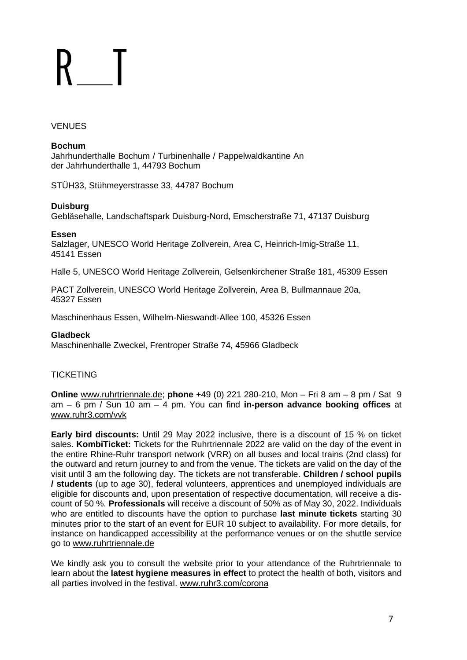#### VENUES

### **Bochum**

Jahrhunderthalle Bochum / Turbinenhalle / Pappelwaldkantine An der Jahrhunderthalle 1, 44793 Bochum

STÜH33, Stühmeyerstrasse 33, 44787 Bochum

### **Duisburg**

Gebläsehalle, Landschaftspark Duisburg-Nord, Emscherstraße 71, 47137 Duisburg

**Essen**

Salzlager, UNESCO World Heritage Zollverein, Area C, Heinrich-Imig-Straße 11, 45141 Essen

Halle 5, UNESCO World Heritage Zollverein, Gelsenkirchener Straße 181, 45309 Essen

PACT Zollverein, UNESCO World Heritage Zollverein, Area B, Bullmannaue 20a, 45327 Essen

Maschinenhaus Essen, Wilhelm-Nieswandt-Allee 100, 45326 Essen

#### **Gladbeck**

Maschinenhalle Zweckel, Frentroper Straße 74, 45966 Gladbeck

### **TICKETING**

**Online** [www.ruhrtriennale.de;](http://www.ruhrtriennale.de/en/) **phone** +49 (0) 221 280-210, Mon – Fri 8 am – 8 pm / Sat 9 am – 6 pm / Sun 10 am – 4 pm. You can find **in-person advance booking offices** at [www.ruhr3.com/vvk](https://www.ruhrtriennale.de/en/vvk)

**Early bird discounts:** Until 29 May 2022 inclusive, there is a discount of 15 % on ticket sales. **KombiTicket:** Tickets for the Ruhrtriennale 2022 are valid on the day of the event in the entire Rhine-Ruhr transport network (VRR) on all buses and local trains (2nd class) for the outward and return journey to and from the venue. The tickets are valid on the day of the visit until 3 am the following day. The tickets are not transferable. **Children / school pupils / students** (up to age 30), federal volunteers, apprentices and unemployed individuals are eligible for discounts and, upon presentation of respective documentation, will receive a discount of 50 %. **Professionals** will receive a discount of 50% as of May 30, 2022. Individuals who are entitled to discounts have the option to purchase **last minute tickets** starting 30 minutes prior to the start of an event for EUR 10 subject to availability. For more details, for instance on handicapped accessibility at the performance venues or on the shuttle service go to [www.ruhrtriennale.de](https://www.ruhrtriennale.de/en/)

We kindly ask you to consult the website prior to your attendance of the Ruhrtriennale to learn about the **latest hygiene measures in effect** to protect the health of both, visitors and all parties involved in the festival. [www.ruhr3.com/corona](https://www.ruhrtriennale.de/en/corona-information)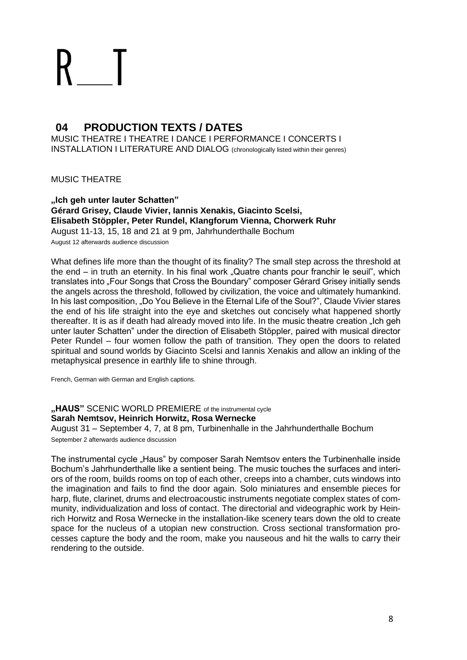# **04 PRODUCTION TEXTS / DATES**

MUSIC THEATRE I THEATRE I DANCE I PERFORMANCE I CONCERTS I INSTALLATION I LITERATURE AND DIALOG (chronologically listed within their genres)

MUSIC THEATRE

**"Ich geh unter lauter Schatten" Gérard Grisey, Claude Vivier, Iannis Xenakis, Giacinto Scelsi, Elisabeth Stöppler, Peter Rundel, Klangforum Vienna, Chorwerk Ruhr** August 11-13, 15, 18 and 21 at 9 pm, Jahrhunderthalle Bochum August 12 afterwards audience discussion

What defines life more than the thought of its finality? The small step across the threshold at the end  $-$  in truth an eternity. In his final work "Quatre chants pour franchir le seuil", which translates into "Four Songs that Cross the Boundary" composer Gérard Grisey initially sends the angels across the threshold, followed by civilization, the voice and ultimately humankind. In his last composition, "Do You Believe in the Eternal Life of the Soul?", Claude Vivier stares the end of his life straight into the eye and sketches out concisely what happened shortly thereafter. It is as if death had already moved into life. In the music theatre creation "Ich geh unter lauter Schatten" under the direction of Elisabeth Stöppler, paired with musical director Peter Rundel – four women follow the path of transition. They open the doors to related spiritual and sound worlds by Giacinto Scelsi and Iannis Xenakis and allow an inkling of the metaphysical presence in earthly life to shine through.

French, German with German and English captions.

**"HAUS"** SCENIC WORLD PREMIERE of the instrumental cycle **Sarah Nemtsov, Heinrich Horwitz, Rosa Wernecke**

August 31 – September 4, 7, at 8 pm, Turbinenhalle in the Jahrhunderthalle Bochum September 2 afterwards audience discussion

The instrumental cycle "Haus" by composer Sarah Nemtsov enters the Turbinenhalle inside Bochum's Jahrhunderthalle like a sentient being. The music touches the surfaces and interiors of the room, builds rooms on top of each other, creeps into a chamber, cuts windows into the imagination and fails to find the door again. Solo miniatures and ensemble pieces for harp, flute, clarinet, drums and electroacoustic instruments negotiate complex states of community, individualization and loss of contact. The directorial and videographic work by Heinrich Horwitz and Rosa Wernecke in the installation-like scenery tears down the old to create space for the nucleus of a utopian new construction. Cross sectional transformation processes capture the body and the room, make you nauseous and hit the walls to carry their rendering to the outside.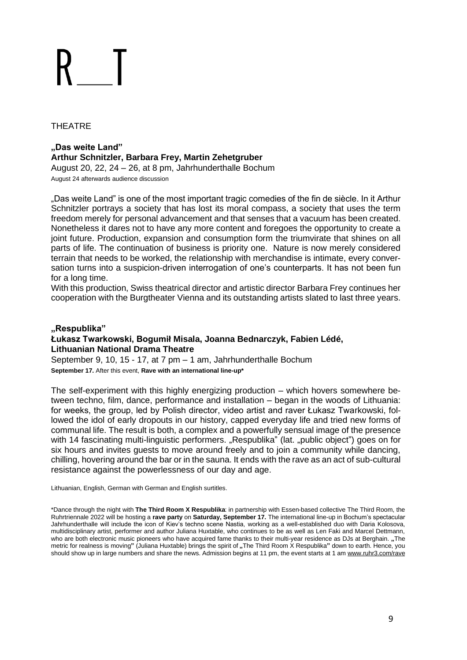### THEATRE

### **"Das weite Land" Arthur Schnitzler, Barbara Frey, Martin Zehetgruber**

August 20, 22, 24 – 26, at 8 pm, Jahrhunderthalle Bochum August 24 afterwards audience discussion

"Das weite Land" is one of the most important tragic comedies of the fin de siècle. In it Arthur Schnitzler portrays a society that has lost its moral compass, a society that uses the term freedom merely for personal advancement and that senses that a vacuum has been created. Nonetheless it dares not to have any more content and foregoes the opportunity to create a joint future. Production, expansion and consumption form the triumvirate that shines on all parts of life. The continuation of business is priority one. Nature is now merely considered terrain that needs to be worked, the relationship with merchandise is intimate, every conversation turns into a suspicion-driven interrogation of one's counterparts. It has not been fun for a long time.

With this production, Swiss theatrical director and artistic director Barbara Frey continues her cooperation with the Burgtheater Vienna and its outstanding artists slated to last three years.

### **"Respublika" Łukasz Twarkowski, Bogumił Misala, Joanna Bednarczyk, Fabien Lédé, Lithuanian National Drama Theatre**

September 9, 10, 15 - 17, at 7 pm – 1 am, Jahrhunderthalle Bochum **September 17.** After this event, **Rave with an international line-up\***

The self-experiment with this highly energizing production – which hovers somewhere between techno, film, dance, performance and installation – began in the woods of Lithuania: for weeks, the group, led by Polish director, video artist and raver Łukasz Twarkowski, followed the idol of early dropouts in our history, capped everyday life and tried new forms of communal life. The result is both, a complex and a powerfully sensual image of the presence with 14 fascinating multi-linguistic performers. "Respublika" (lat. "public object") goes on for six hours and invites guests to move around freely and to join a community while dancing, chilling, hovering around the bar or in the sauna. It ends with the rave as an act of sub-cultural resistance against the powerlessness of our day and age.

Lithuanian, English, German with German and English surtitles.

\*Dance through the night with **The Third Room X Respublika**: in partnership with Essen-based collective The Third Room, the Ruhrtriennale 2022 will be hosting a **rave party** on **Saturday, September 17.** The international line-up in Bochum's spectacular Jahrhunderthalle will include the icon of Kiev's techno scene Nastia, working as a well-established duo with Daria Kolosova, multidisciplinary artist, performer and author Juliana Huxtable, who continues to be as well as Len Faki and Marcel Dettmann, who are both electronic music pioneers who have acquired fame thanks to their multi-year residence as DJs at Berghain. **"**The metric for realness is moving**"** (Juliana Huxtable) brings the spirit of **"**The Third Room X Respublika**"** down to earth. Hence, you should show up in large numbers and share the news. Admission begins at 11 pm, the event starts at 1 a[m www.ruhr3.com/rave](https://www.ruhrtriennale.de/en/programme/the-third-room-x-respublika/95)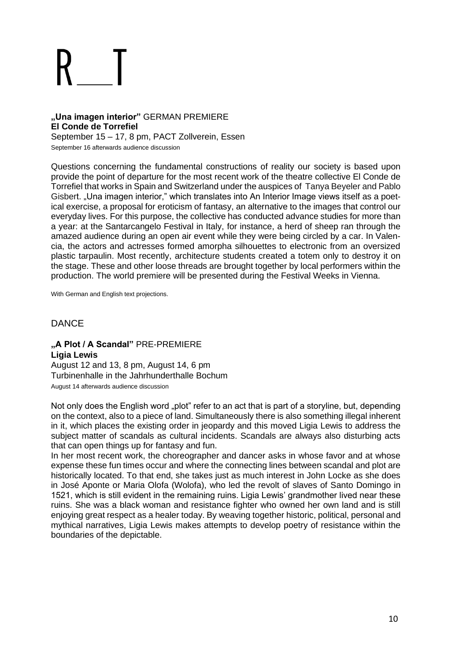### **"Una imagen interior"** GERMAN PREMIERE **El Conde de Torrefiel** September 15 – 17, 8 pm, PACT Zollverein, Essen

September 16 afterwards audience discussion

Questions concerning the fundamental constructions of reality our society is based upon provide the point of departure for the most recent work of the theatre collective El Conde de Torrefiel that works in Spain and Switzerland under the auspices of Tanya Beyeler and Pablo Gisbert. "Una imagen interior," which translates into An Interior Image views itself as a poetical exercise, a proposal for eroticism of fantasy, an alternative to the images that control our everyday lives. For this purpose, the collective has conducted advance studies for more than a year: at the Santarcangelo Festival in Italy, for instance, a herd of sheep ran through the amazed audience during an open air event while they were being circled by a car. In Valencia, the actors and actresses formed amorpha silhouettes to electronic from an oversized plastic tarpaulin. Most recently, architecture students created a totem only to destroy it on the stage. These and other loose threads are brought together by local performers within the production. The world premiere will be presented during the Festival Weeks in Vienna.

With German and English text projections.

### **DANCE**

#### **"A Plot / A Scandal"** PRE-PREMIERE **Ligia Lewis**

August 12 and 13, 8 pm, August 14, 6 pm Turbinenhalle in the Jahrhunderthalle Bochum August 14 afterwards audience discussion

Not only does the English word "plot" refer to an act that is part of a storyline, but, depending on the context, also to a piece of land. Simultaneously there is also something illegal inherent in it, which places the existing order in jeopardy and this moved Ligia Lewis to address the subject matter of scandals as cultural incidents. Scandals are always also disturbing acts that can open things up for fantasy and fun.

In her most recent work, the choreographer and dancer asks in whose favor and at whose expense these fun times occur and where the connecting lines between scandal and plot are historically located. To that end, she takes just as much interest in John Locke as she does in José Aponte or Maria Olofa (Wolofa), who led the revolt of slaves of Santo Domingo in 1521, which is still evident in the remaining ruins. Ligia Lewis' grandmother lived near these ruins. She was a black woman and resistance fighter who owned her own land and is still enjoying great respect as a healer today. By weaving together historic, political, personal and mythical narratives, Ligia Lewis makes attempts to develop poetry of resistance within the boundaries of the depictable.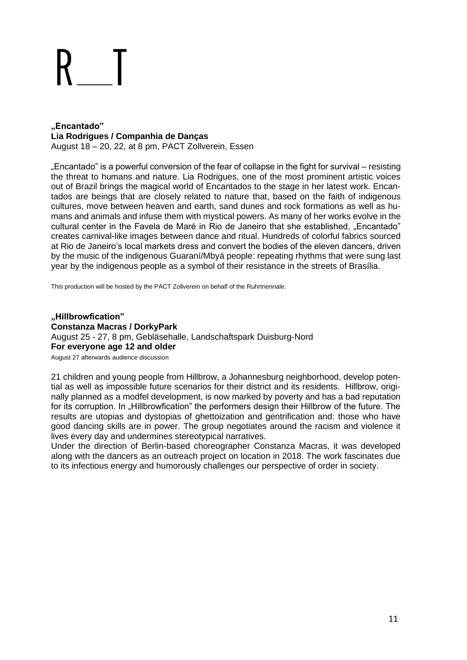# **"Encantado" Lia Rodrigues / Companhia de Danças**

August 18 – 20, 22, at 8 pm, PACT Zollverein, Essen

"Encantado" is a powerful conversion of the fear of collapse in the fight for survival – resisting the threat to humans and nature. Lia Rodrigues, one of the most prominent artistic voices out of Brazil brings the magical world of Encantados to the stage in her latest work. Encantados are beings that are closely related to nature that, based on the faith of indigenous cultures, move between heaven and earth, sand dunes and rock formations as well as humans and animals and infuse them with mystical powers. As many of her works evolve in the cultural center in the Favela de Maré in Rio de Janeiro that she established, "Encantado" creates carnival-like images between dance and ritual. Hundreds of colorful fabrics sourced at Rio de Janeiro's local markets dress and convert the bodies of the eleven dancers, driven by the music of the indigenous Guaraní/Mbyá people: repeating rhythms that were sung last year by the indigenous people as a symbol of their resistance in the streets of Brasília.

This production will be hosted by the PACT Zollverein on behalf of the Ruhrtriennale.

**"Hillbrowfication" Constanza Macras / DorkyPark** August 25 - 27, 8 pm, Gebläsehalle, Landschaftspark Duisburg-Nord **For everyone age 12 and older**

August 27 afterwards audience discussion

21 children and young people from Hillbrow, a Johannesburg neighborhood, develop potential as well as impossible future scenarios for their district and its residents. Hillbrow, originally planned as a modfel development, is now marked by poverty and has a bad reputation for its corruption. In "Hillbrowfication" the performers design their Hillbrow of the future. The results are utopias and dystopias of ghettoization and gentrification and: those who have good dancing skills are in power. The group negotiates around the racism and violence it lives every day and undermines stereotypical narratives.

Under the direction of Berlin-based choreographer Constanza Macras, it was developed along with the dancers as an outreach project on location in 2018. The work fascinates due to its infectious energy and humorously challenges our perspective of order in society.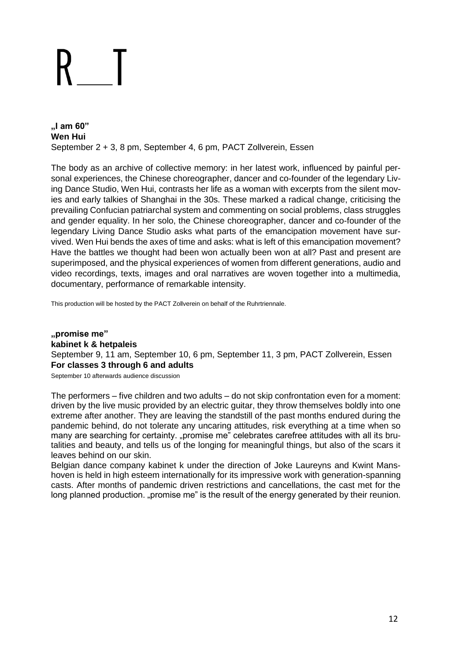**"I am 60" Wen Hui** September 2 + 3, 8 pm, September 4, 6 pm, PACT Zollverein, Essen

The body as an archive of collective memory: in her latest work, influenced by painful personal experiences, the Chinese choreographer, dancer and co-founder of the legendary Living Dance Studio, Wen Hui, contrasts her life as a woman with excerpts from the silent movies and early talkies of Shanghai in the 30s. These marked a radical change, criticising the prevailing Confucian patriarchal system and commenting on social problems, class struggles and gender equality. In her solo, the Chinese choreographer, dancer and co-founder of the legendary Living Dance Studio asks what parts of the emancipation movement have survived. Wen Hui bends the axes of time and asks: what is left of this emancipation movement? Have the battles we thought had been won actually been won at all? Past and present are superimposed, and the physical experiences of women from different generations, audio and video recordings, texts, images and oral narratives are woven together into a multimedia, documentary, performance of remarkable intensity.

This production will be hosted by the PACT Zollverein on behalf of the Ruhrtriennale.

**"promise me" kabinet k & hetpaleis** September 9, 11 am, September 10, 6 pm, September 11, 3 pm, PACT Zollverein, Essen **For classes 3 through 6 and adults**

September 10 afterwards audience discussion

The performers – five children and two adults – do not skip confrontation even for a moment: driven by the live music provided by an electric guitar, they throw themselves boldly into one extreme after another. They are leaving the standstill of the past months endured during the pandemic behind, do not tolerate any uncaring attitudes, risk everything at a time when so many are searching for certainty. "promise me" celebrates carefree attitudes with all its brutalities and beauty, and tells us of the longing for meaningful things, but also of the scars it leaves behind on our skin.

Belgian dance company kabinet k under the direction of Joke Laureyns and Kwint Manshoven is held in high esteem internationally for its impressive work with generation-spanning casts. After months of pandemic driven restrictions and cancellations, the cast met for the long planned production. "promise me" is the result of the energy generated by their reunion.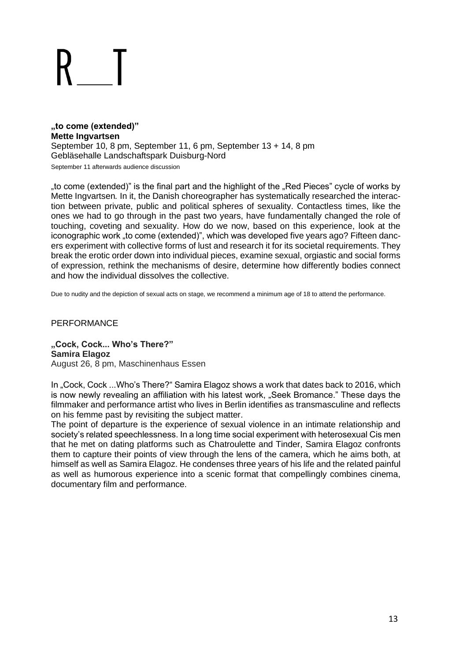#### **"to come (extended)" Mette Ingvartsen** September 10, 8 pm, September 11, 6 pm, September 13 + 14, 8 pm Gebläsehalle Landschaftspark Duisburg-Nord September 11 afterwards audience discussion

"to come (extended)" is the final part and the highlight of the "Red Pieces" cycle of works by Mette Ingvartsen*.* In it, the Danish choreographer has systematically researched the interaction between private, public and political spheres of sexuality. Contactless times, like the ones we had to go through in the past two years, have fundamentally changed the role of touching, coveting and sexuality. How do we now, based on this experience, look at the iconographic work "to come (extended)", which was developed five years ago? Fifteen dancers experiment with collective forms of lust and research it for its societal requirements. They break the erotic order down into individual pieces, examine sexual, orgiastic and social forms of expression, rethink the mechanisms of desire, determine how differently bodies connect and how the individual dissolves the collective.

Due to nudity and the depiction of sexual acts on stage, we recommend a minimum age of 18 to attend the performance.

#### PERFORMANCE

**"Cock, Cock... Who's There?" Samira Elagoz** August 26, 8 pm, Maschinenhaus Essen

In "Cock, Cock ...Who's There?" Samira Elagoz shows a work that dates back to 2016, which is now newly revealing an affiliation with his latest work, "Seek Bromance." These days the filmmaker and performance artist who lives in Berlin identifies as transmasculine and reflects on his femme past by revisiting the subject matter.

The point of departure is the experience of sexual violence in an intimate relationship and society's related speechlessness. In a long time social experiment with heterosexual Cis men that he met on dating platforms such as Chatroulette and Tinder, Samira Elagoz confronts them to capture their points of view through the lens of the camera, which he aims both, at himself as well as Samira Elagoz. He condenses three years of his life and the related painful as well as humorous experience into a scenic format that compellingly combines cinema, documentary film and performance.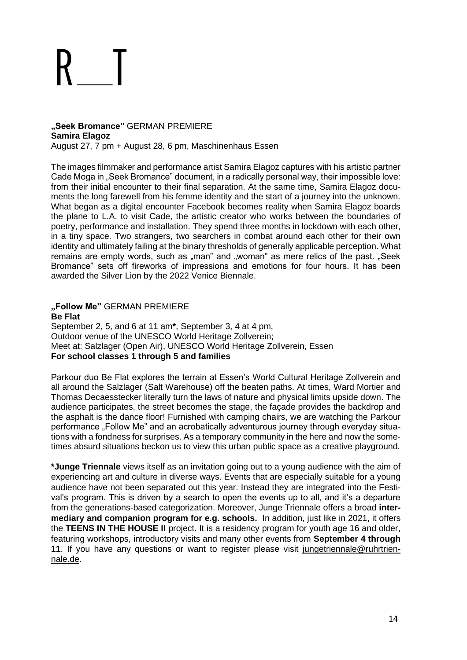#### **"Seek Bromance"** GERMAN PREMIERE **Samira Elagoz** August 27, 7 pm + August 28, 6 pm, Maschinenhaus Essen

The images filmmaker and performance artist Samira Elagoz captures with his artistic partner Cade Moga in "Seek Bromance" document, in a radically personal way, their impossible love: from their initial encounter to their final separation. At the same time, Samira Elagoz documents the long farewell from his femme identity and the start of a journey into the unknown. What began as a digital encounter Facebook becomes reality when Samira Elagoz boards the plane to L.A. to visit Cade, the artistic creator who works between the boundaries of poetry, performance and installation. They spend three months in lockdown with each other, in a tiny space. Two strangers, two searchers in combat around each other for their own identity and ultimately failing at the binary thresholds of generally applicable perception. What remains are empty words, such as "man" and "woman" as mere relics of the past. "Seek Bromance" sets off fireworks of impressions and emotions for four hours. It has been awarded the Silver Lion by the 2022 Venice Biennale.

**"Follow Me"** GERMAN PREMIERE **Be Flat** September 2, 5, and 6 at 11 am**\***, September 3, 4 at 4 pm, Outdoor venue of the UNESCO World Heritage Zollverein; Meet at: Salzlager (Open Air), UNESCO World Heritage Zollverein, Essen **For school classes 1 through 5 and families**

Parkour duo Be Flat explores the terrain at Essen's World Cultural Heritage Zollverein and all around the Salzlager (Salt Warehouse) off the beaten paths. At times, Ward Mortier and Thomas Decaesstecker literally turn the laws of nature and physical limits upside down. The audience participates, the street becomes the stage, the façade provides the backdrop and the asphalt is the dance floor! Furnished with camping chairs, we are watching the Parkour performance "Follow Me" and an acrobatically adventurous journey through everyday situations with a fondness for surprises. As a temporary community in the here and now the sometimes absurd situations beckon us to view this urban public space as a creative playground.

**\*Junge Triennale** views itself as an invitation going out to a young audience with the aim of experiencing art and culture in diverse ways. Events that are especially suitable for a young audience have not been separated out this year. Instead they are integrated into the Festival's program. This is driven by a search to open the events up to all, and it's a departure from the generations-based categorization. Moreover, Junge Triennale offers a broad **intermediary and companion program for e.g. schools.** In addition, just like in 2021, it offers the **TEENS IN THE HOUSE II** project. It is a residency program for youth age 16 and older, featuring workshops, introductory visits and many other events from **September 4 through 11.** If you have any questions or want to register please visit [jungetriennale@ruhrtrien](mailto:jungetriennale@ruhrtriennale.de)[nale.de.](mailto:jungetriennale@ruhrtriennale.de)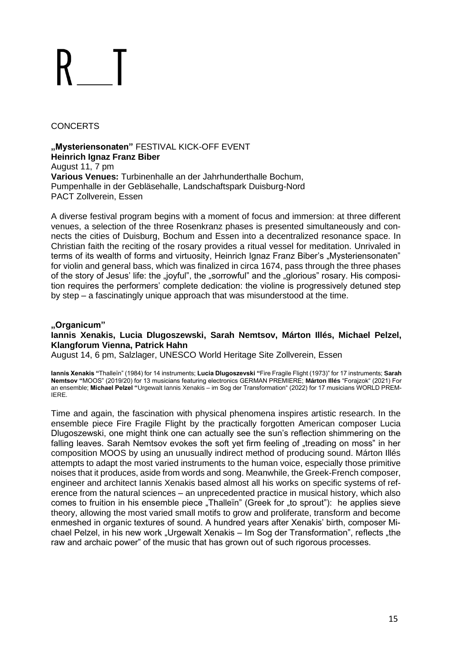### **CONCERTS**

**"Mysteriensonaten"** FESTIVAL KICK-OFF EVENT **Heinrich Ignaz Franz Biber** August 11, 7 pm **Various Venues:** Turbinenhalle an der Jahrhunderthalle Bochum, Pumpenhalle in der Gebläsehalle, Landschaftspark Duisburg-Nord PACT Zollverein, Essen

A diverse festival program begins with a moment of focus and immersion: at three different venues, a selection of the three Rosenkranz phases is presented simultaneously and connects the cities of Duisburg, Bochum and Essen into a decentralized resonance space. In Christian faith the reciting of the rosary provides a ritual vessel for meditation. Unrivaled in terms of its wealth of forms and virtuosity, Heinrich Ignaz Franz Biber's "Mysteriensonaten" for violin and general bass, which was finalized in circa 1674, pass through the three phases of the story of Jesus' life: the "joyful", the "sorrowful" and the "glorious" rosary. His composition requires the performers' complete dedication: the violine is progressively detuned step by step – a fascinatingly unique approach that was misunderstood at the time.

### **"Organicum"**

#### **Iannis Xenakis, Lucia Dlugoszewski, Sarah Nemtsov, Márton Illés, Michael Pelzel, Klangforum Vienna, Patrick Hahn**

August 14, 6 pm, Salzlager, UNESCO World Heritage Site Zollverein, Essen

**Iannis Xenakis "**Thalleïn" (1984) for 14 instruments; **Lucia Dlugoszevski "**Fire Fragile Flight (1973)" for 17 instruments; **Sarah Nemtsov "**MOOS" (2019/20) for 13 musicians featuring electronics GERMAN PREMIERE; **Márton Illés** "Forajzok" (2021) For an ensemble; **Michael Pelzel "**Urgewalt Iannis Xenakis – im Sog der Transformation" (2022) for 17 musicians WORLD PREM-IERE.

Time and again, the fascination with physical phenomena inspires artistic research. In the ensemble piece Fire Fragile Flight by the practically forgotten American composer Lucia Dlugoszewski, one might think one can actually see the sun's reflection shimmering on the falling leaves. Sarah Nemtsov evokes the soft yet firm feeling of "treading on moss" in her composition MOOS by using an unusually indirect method of producing sound. Márton Illés attempts to adapt the most varied instruments to the human voice, especially those primitive noises that it produces, aside from words and song. Meanwhile, the Greek-French composer, engineer and architect Iannis Xenakis based almost all his works on specific systems of reference from the natural sciences – an unprecedented practice in musical history, which also comes to fruition in his ensemble piece "Thalleïn" (Greek for "to sprout"): he applies sieve theory, allowing the most varied small motifs to grow and proliferate, transform and become enmeshed in organic textures of sound. A hundred years after Xenakis' birth, composer Michael Pelzel, in his new work "Urgewalt Xenakis – Im Sog der Transformation", reflects "the raw and archaic power" of the music that has grown out of such rigorous processes.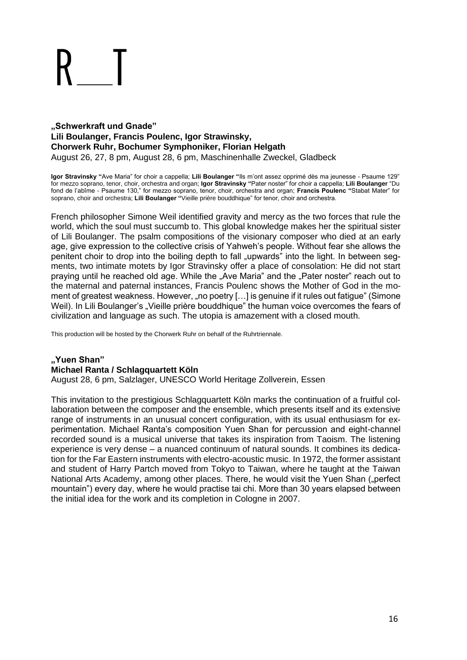#### **"Schwerkraft und Gnade" Lili Boulanger, Francis Poulenc, Igor Strawinsky, Chorwerk Ruhr, Bochumer Symphoniker, Florian Helgath** August 26, 27, 8 pm, August 28, 6 pm, Maschinenhalle Zweckel, Gladbeck

**Igor Stravinsky "**Ave Maria" for choir a cappella; **Lili Boulanger "**Ils m'ont assez opprimé dès ma jeunesse - Psaume 129" for mezzo soprano, tenor, choir, orchestra and organ; **Igor Stravinsky "**Pater noster" for choir a cappella; **Lili Boulanger** "Du fond de l'abîme - Psaume 130," for mezzo soprano, tenor, choir, orchestra and organ; **Francis Poulenc "**Stabat Mater" for soprano, choir and orchestra; **Lili Boulanger "**Vieille prière bouddhique" for tenor, choir and orchestra.

French philosopher Simone Weil identified gravity and mercy as the two forces that rule the world, which the soul must succumb to. This global knowledge makes her the spiritual sister of Lili Boulanger. The psalm compositions of the visionary composer who died at an early age, give expression to the collective crisis of Yahweh's people. Without fear she allows the penitent choir to drop into the boiling depth to fall "upwards" into the light. In between segments, two intimate motets by Igor Stravinsky offer a place of consolation: He did not start praying until he reached old age. While the "Ave Maria" and the "Pater noster" reach out to the maternal and paternal instances, Francis Poulenc shows the Mother of God in the moment of greatest weakness. However, "no poetry [...] is genuine if it rules out fatigue" (Simone Weil). In Lili Boulanger's "Vieille prière bouddhique" the human voice overcomes the fears of civilization and language as such. The utopia is amazement with a closed mouth.

This production will be hosted by the Chorwerk Ruhr on behalf of the Ruhrtriennale.

# **"Yuen Shan" Michael Ranta / Schlagquartett Köln**

August 28, 6 pm, Salzlager, UNESCO World Heritage Zollverein, Essen

This invitation to the prestigious Schlagquartett Köln marks the continuation of a fruitful collaboration between the composer and the ensemble, which presents itself and its extensive range of instruments in an unusual concert configuration, with its usual enthusiasm for experimentation. Michael Ranta's composition Yuen Shan for percussion and eight-channel recorded sound is a musical universe that takes its inspiration from Taoism. The listening experience is very dense – a nuanced continuum of natural sounds. It combines its dedication for the Far Eastern instruments with electro-acoustic music. In 1972, the former assistant and student of Harry Partch moved from Tokyo to Taiwan, where he taught at the Taiwan National Arts Academy, among other places. There, he would visit the Yuen Shan ("perfect mountain") every day, where he would practise tai chi. More than 30 years elapsed between the initial idea for the work and its completion in Cologne in 2007.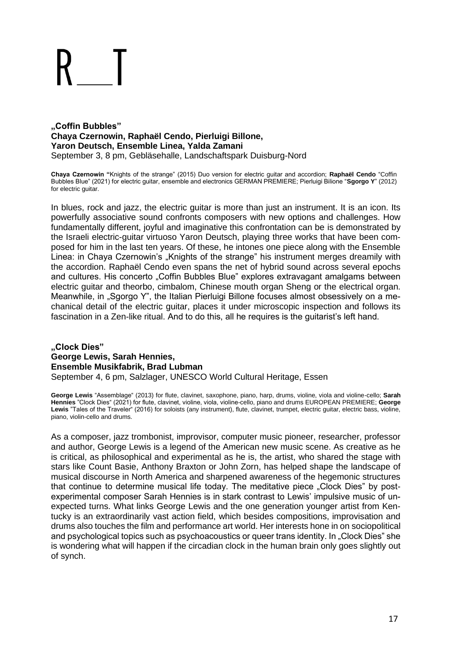#### **"Coffin Bubbles" Chaya Czernowin, Raphaël Cendo, Pierluigi Billone, Yaron Deutsch, Ensemble Linea, Yalda Zamani** September 3, 8 pm, Gebläsehalle, Landschaftspark Duisburg-Nord

**Chaya Czernowin "**Knights of the strange" (2015) Duo version for electric guitar and accordion; **Raphaël Cendo** "Coffin Bubbles Blue" (2021) for electric guitar, ensemble and electronics GERMAN PREMIERE; Pierluigi Bilione "**Sgorgo Y**" (2012) for electric guitar.

In blues, rock and jazz, the electric guitar is more than just an instrument. It is an icon. Its powerfully associative sound confronts composers with new options and challenges. How fundamentally different, joyful and imaginative this confrontation can be is demonstrated by the Israeli electric-guitar virtuoso Yaron Deutsch, playing three works that have been composed for him in the last ten years. Of these, he intones one piece along with the Ensemble Linea: in Chaya Czernowin's "Knights of the strange" his instrument merges dreamily with the accordion. Raphaël Cendo even spans the net of hybrid sound across several epochs and cultures. His concerto "Coffin Bubbles Blue" explores extravagant amalgams between electric guitar and theorbo, cimbalom, Chinese mouth organ Sheng or the electrical organ. Meanwhile, in "Sgorgo Y", the Italian Pierluigi Billone focuses almost obsessively on a mechanical detail of the electric guitar, places it under microscopic inspection and follows its fascination in a Zen-like ritual. And to do this, all he requires is the guitarist's left hand.

#### **"Clock Dies" George Lewis, Sarah Hennies, Ensemble Musikfabrik, Brad Lubman** September 4, 6 pm, Salzlager, UNESCO World Cultural Heritage, Essen

**George Lewis** "Assemblage" (2013) for flute, clavinet, saxophone, piano, harp, drums, violine, viola and violine-cello; **Sarah Hennies** "Clock Dies" (2021) for flute, clavinet, violine, viola, violine-cello, piano and drums EUROPEAN PREMIERE; **George**  Lewis "Tales of the Traveler" (2016) for soloists (any instrument), flute, clavinet, trumpet, electric guitar, electric bass, violine, piano, violin-cello and drums.

As a composer, jazz trombonist, improvisor, computer music pioneer, researcher, professor and author, George Lewis is a legend of the American new music scene. As creative as he is critical, as philosophical and experimental as he is, the artist, who shared the stage with stars like Count Basie, Anthony Braxton or John Zorn, has helped shape the landscape of musical discourse in North America and sharpened awareness of the hegemonic structures that continue to determine musical life today. The meditative piece "Clock Dies" by postexperimental composer Sarah Hennies is in stark contrast to Lewis' impulsive music of unexpected turns. What links George Lewis and the one generation younger artist from Kentucky is an extraordinarily vast action field, which besides compositions, improvisation and drums also touches the film and performance art world. Her interests hone in on sociopolitical and psychological topics such as psychoacoustics or queer trans identity. In "Clock Dies" she is wondering what will happen if the circadian clock in the human brain only goes slightly out of synch.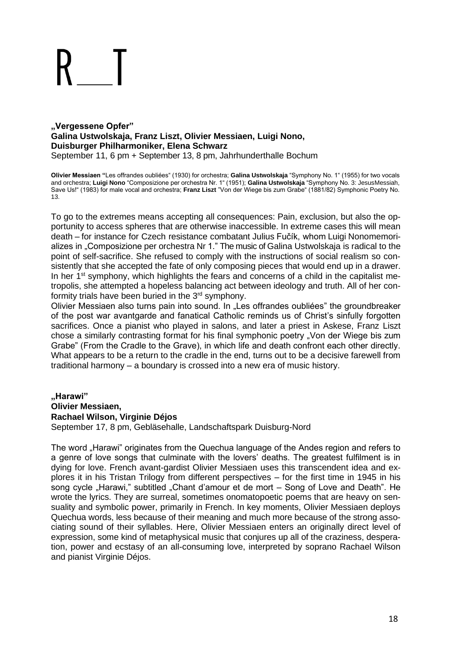#### **"Vergessene Opfer" Galina Ustwolskaja, Franz Liszt, Olivier Messiaen, Luigi Nono, Duisburger Philharmoniker, Elena Schwarz** September 11, 6 pm + September 13, 8 pm, Jahrhunderthalle Bochum

**Olivier Messiaen "**Les offrandes oubliées" (1930) for orchestra; **Galina Ustwolskaja** "Symphony No. 1" (1955) for two vocals and orchestra; **Luigi Nono** "Composizione per orchestra Nr. 1" (1951); **Galina Ustwolskaja** "Symphony No. 3: JesusMessiah, Save Us!" (1983) for male vocal and orchestra; **Franz Liszt** "Von der Wiege bis zum Grabe" (1881/82) Symphonic Poetry No. 13.

To go to the extremes means accepting all consequences: Pain, exclusion, but also the opportunity to access spheres that are otherwise inaccessible. In extreme cases this will mean death – for instance for Czech resistance combatant Julius Fučík, whom Luigi Nonomemorializes in "Composizione per orchestra Nr 1." The music of Galina Ustwolskaja is radical to the point of self-sacrifice. She refused to comply with the instructions of social realism so consistently that she accepted the fate of only composing pieces that would end up in a drawer. In her  $1<sup>st</sup>$  symphony, which highlights the fears and concerns of a child in the capitalist metropolis, she attempted a hopeless balancing act between ideology and truth. All of her conformity trials have been buried in the  $3<sup>rd</sup>$  symphony.

Olivier Messiaen also turns pain into sound. In "Les offrandes oubliées" the groundbreaker of the post war avantgarde and fanatical Catholic reminds us of Christ's sinfully forgotten sacrifices. Once a pianist who played in salons, and later a priest in Askese, Franz Liszt chose a similarly contrasting format for his final symphonic poetry "Von der Wiege bis zum Grabe" (From the Cradle to the Grave), in which life and death confront each other directly. What appears to be a return to the cradle in the end, turns out to be a decisive farewell from traditional harmony – a boundary is crossed into a new era of music history.

## **"Harawi" Olivier Messiaen, Rachael Wilson, Virginie Déjos**

September 17, 8 pm, Gebläsehalle, Landschaftspark Duisburg-Nord

The word "Harawi" originates from the Quechua language of the Andes region and refers to a genre of love songs that culminate with the lovers' deaths. The greatest fulfilment is in dying for love. French avant-gardist Olivier Messiaen uses this transcendent idea and explores it in his Tristan Trilogy from different perspectives – for the first time in 1945 in his song cycle "Harawi," subtitled "Chant d'amour et de mort – Song of Love and Death". He wrote the lyrics. They are surreal, sometimes onomatopoetic poems that are heavy on sensuality and symbolic power, primarily in French. In key moments, Olivier Messiaen deploys Quechua words, less because of their meaning and much more because of the strong associating sound of their syllables. Here, Olivier Messiaen enters an originally direct level of expression, some kind of metaphysical music that conjures up all of the craziness, desperation, power and ecstasy of an all-consuming love, interpreted by soprano Rachael Wilson and pianist Virginie Déjos.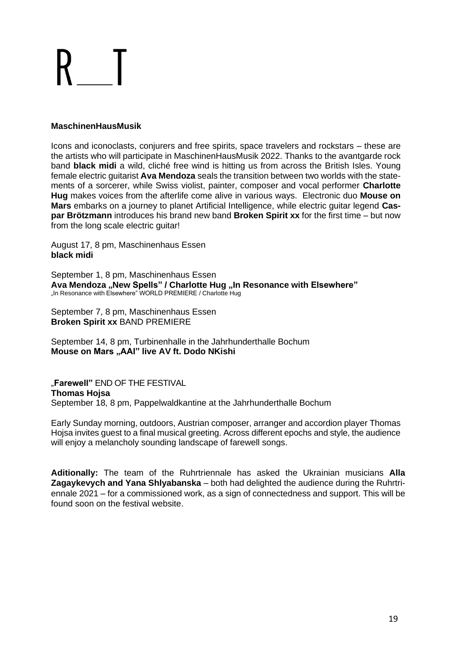### **MaschinenHausMusik**

Icons and iconoclasts, conjurers and free spirits, space travelers and rockstars – these are the artists who will participate in MaschinenHausMusik 2022. Thanks to the avantgarde rock band **black midi** a wild, cliché free wind is hitting us from across the British Isles. Young female electric guitarist **Ava Mendoza** seals the transition between two worlds with the statements of a sorcerer, while Swiss violist, painter, composer and vocal performer **Charlotte Hug** makes voices from the afterlife come alive in various ways. Electronic duo **Mouse on Mars** embarks on a journey to planet Artificial Intelligence, while electric guitar legend **Caspar Brötzmann** introduces his brand new band **Broken Spirit xx** for the first time – but now from the long scale electric guitar!

August 17, 8 pm, Maschinenhaus Essen **black midi**

September 1, 8 pm, Maschinenhaus Essen **Ava Mendoza "New Spells" / Charlotte Hug "In Resonance with Elsewhere"** "In Resonance with Elsewhere" WORLD PREMIERE / Charlotte Hug

September 7, 8 pm, Maschinenhaus Essen **Broken Spirit xx** BAND PREMIERE

September 14, 8 pm, Turbinenhalle in the Jahrhunderthalle Bochum **Mouse on Mars "AAI" live AV ft. Dodo NKishi**

"**Farewell"** END OF THE FESTIVAL **Thomas Hojsa** September 18, 8 pm, Pappelwaldkantine at the Jahrhunderthalle Bochum

Early Sunday morning, outdoors, Austrian composer, arranger and accordion player Thomas Hojsa invites guest to a final musical greeting. Across different epochs and style, the audience will enjoy a melancholy sounding landscape of farewell songs.

**Aditionally:** The team of the Ruhrtriennale has asked the Ukrainian musicians **Alla Zagaykevych and Yana Shlyabanska** – both had delighted the audience during the Ruhrtriennale 2021 – for a commissioned work, as a sign of connectedness and support. This will be found soon on the festival website.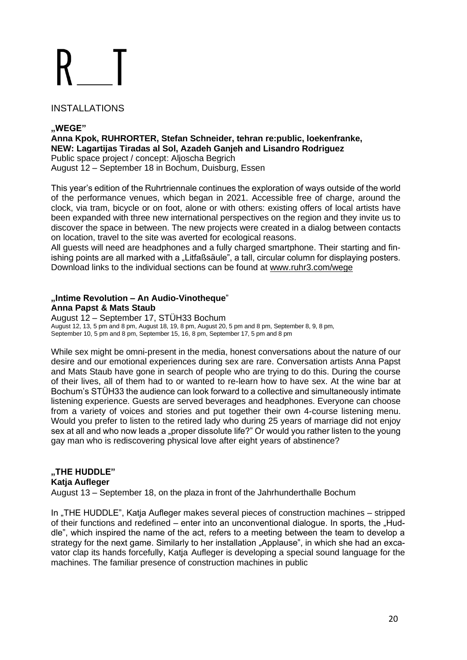### INSTALLATIONS

### **"WEGE"**

**Anna Kpok, RUHRORTER, Stefan Schneider, tehran re:public, loekenfranke, NEW: Lagartijas Tiradas al Sol, Azadeh Ganjeh and Lisandro Rodriguez** Public space project / concept: Aljoscha Begrich August 12 – September 18 in Bochum, Duisburg, Essen

This year's edition of the Ruhrtriennale continues the exploration of ways outside of the world of the performance venues, which began in 2021. Accessible free of charge, around the clock, via tram, bicycle or on foot, alone or with others: existing offers of local artists have been expanded with three new international perspectives on the region and they invite us to discover the space in between. The new projects were created in a dialog between contacts on location, travel to the site was averted for ecological reasons.

All guests will need are headphones and a fully charged smartphone. Their starting and finishing points are all marked with a "Litfaß säule", a tall, circular column for displaying posters. Download links to the individual sections can be found at [www.ruhr3.com/wege](https://www.ruhrtriennale.de/en/programme/wege/87)

### **"Intime Revolution – An Audio-Vinotheque**" **Anna Papst & Mats Staub**

August 12 – September 17, STÜH33 Bochum August 12, 13, 5 pm and 8 pm, August 18, 19, 8 pm, August 20, 5 pm and 8 pm, September 8, 9, 8 pm, September 10, 5 pm and 8 pm, September 15, 16, 8 pm, September 17, 5 pm and 8 pm

While sex might be omni-present in the media, honest conversations about the nature of our desire and our emotional experiences during sex are rare. Conversation artists Anna Papst and Mats Staub have gone in search of people who are trying to do this. During the course of their lives, all of them had to or wanted to re-learn how to have sex. At the wine bar at Bochum's STÜH33 the audience can look forward to a collective and simultaneously intimate listening experience. Guests are served beverages and headphones. Everyone can choose from a variety of voices and stories and put together their own 4-course listening menu. Would you prefer to listen to the retired lady who during 25 years of marriage did not enjoy sex at all and who now leads a "proper dissolute life?" Or would you rather listen to the young gay man who is rediscovering physical love after eight years of abstinence?

### **"THE HUDDLE" Katja Aufleger**

August 13 – September 18, on the plaza in front of the Jahrhunderthalle Bochum

In "THE HUDDLE", Katja Aufleger makes several pieces of construction machines – stripped of their functions and redefined – enter into an unconventional dialogue. In sports, the "Huddle", which inspired the name of the act, refers to a meeting between the team to develop a strategy for the next game. Similarly to her installation "Applause", in which she had an excavator clap its hands forcefully, Katja Aufleger is developing a special sound language for the machines. The familiar presence of construction machines in public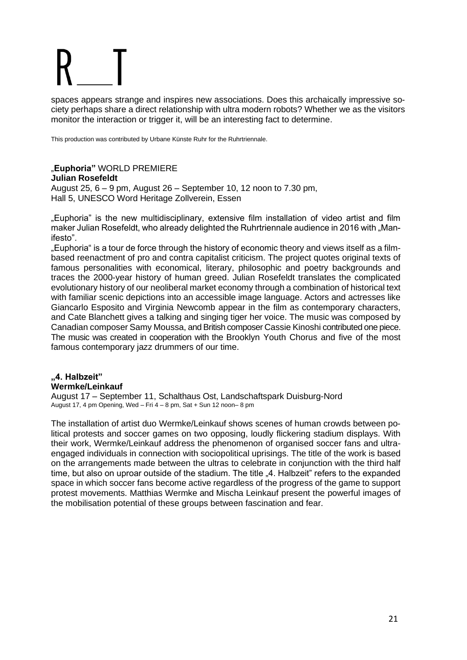spaces appears strange and inspires new associations. Does this archaically impressive society perhaps share a direct relationship with ultra modern robots? Whether we as the visitors monitor the interaction or trigger it, will be an interesting fact to determine.

This production was contributed by Urbane Künste Ruhr for the Ruhrtriennale.

#### "**Euphoria"** WORLD PREMIERE **Julian Rosefeldt**

August 25, 6 – 9 pm, August 26 – September 10, 12 noon to 7.30 pm, Hall 5, UNESCO Word Heritage Zollverein, Essen

"Euphoria" is the new multidisciplinary, extensive film installation of video artist and film maker Julian Rosefeldt, who already delighted the Ruhrtriennale audience in 2016 with "Manifesto".

"Euphoria" is a tour de force through the history of economic theory and views itself as a filmbased reenactment of pro and contra capitalist criticism. The project quotes original texts of famous personalities with economical, literary, philosophic and poetry backgrounds and traces the 2000-year history of human greed. Julian Rosefeldt translates the complicated evolutionary history of our neoliberal market economy through a combination of historical text with familiar scenic depictions into an accessible image language. Actors and actresses like Giancarlo Esposito and Virginia Newcomb appear in the film as contemporary characters, and Cate Blanchett gives a talking and singing tiger her voice. The music was composed by Canadian composer Samy Moussa, and British composer Cassie Kinoshi contributed one piece. The music was created in cooperation with the Brooklyn Youth Chorus and five of the most famous contemporary jazz drummers of our time.

### **"4. Halbzeit" Wermke/Leinkauf**

August 17 – September 11, Schalthaus Ost, Landschaftspark Duisburg-Nord August 17, 4 pm Opening, Wed - Fri  $4 - 8$  pm, Sat + Sun 12 noon-8 pm

The installation of artist duo Wermke/Leinkauf shows scenes of human crowds between political protests and soccer games on two opposing, loudly flickering stadium displays. With their work, Wermke/Leinkauf address the phenomenon of organised soccer fans and ultraengaged individuals in connection with sociopolitical uprisings. The title of the work is based on the arrangements made between the ultras to celebrate in conjunction with the third half time, but also on uproar outside of the stadium. The title "4. Halbzeit" refers to the expanded space in which soccer fans become active regardless of the progress of the game to support protest movements. Matthias Wermke and Mischa Leinkauf present the powerful images of the mobilisation potential of these groups between fascination and fear.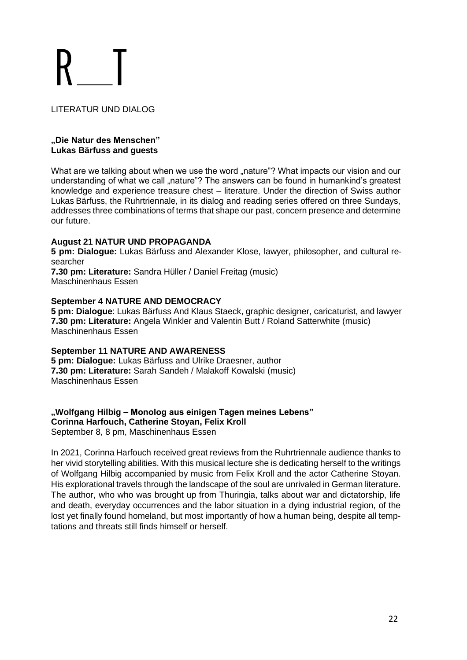LITERATUR UND DIALOG

#### **"Die Natur des Menschen" Lukas Bärfuss and guests**

What are we talking about when we use the word "nature"? What impacts our vision and our understanding of what we call "nature"? The answers can be found in humankind's greatest knowledge and experience treasure chest – literature. Under the direction of Swiss author Lukas Bärfuss, the Ruhrtriennale, in its dialog and reading series offered on three Sundays, addresses three combinations of terms that shape our past, concern presence and determine our future.

### **August 21 NATUR UND PROPAGANDA**

**5 pm: Dialogue:** Lukas Bärfuss and Alexander Klose, lawyer, philosopher, and cultural researcher

**7.30 pm: Literature:** Sandra Hüller / Daniel Freitag (music) Maschinenhaus Essen

### **September 4 NATURE AND DEMOCRACY**

**5 pm: Dialogue**: Lukas Bärfuss And Klaus Staeck, graphic designer, caricaturist, and lawyer **7.30 pm: Literature:** Angela Winkler and Valentin Butt / Roland Satterwhite (music) Maschinenhaus Essen

#### **September 11 NATURE AND AWARENESS**

**5 pm: Dialogue:** Lukas Bärfuss and Ulrike Draesner, author **7.30 pm: Literature:** Sarah Sandeh / Malakoff Kowalski (music) Maschinenhaus Essen

# **"Wolfgang Hilbig – Monolog aus einigen Tagen meines Lebens" Corinna Harfouch, Catherine Stoyan, Felix Kroll**

September 8, 8 pm, Maschinenhaus Essen

In 2021, Corinna Harfouch received great reviews from the Ruhrtriennale audience thanks to her vivid storytelling abilities. With this musical lecture she is dedicating herself to the writings of Wolfgang Hilbig accompanied by music from Felix Kroll and the actor Catherine Stoyan. His explorational travels through the landscape of the soul are unrivaled in German literature. The author, who who was brought up from Thuringia, talks about war and dictatorship, life and death, everyday occurrences and the labor situation in a dying industrial region, of the lost yet finally found homeland, but most importantly of how a human being, despite all temptations and threats still finds himself or herself.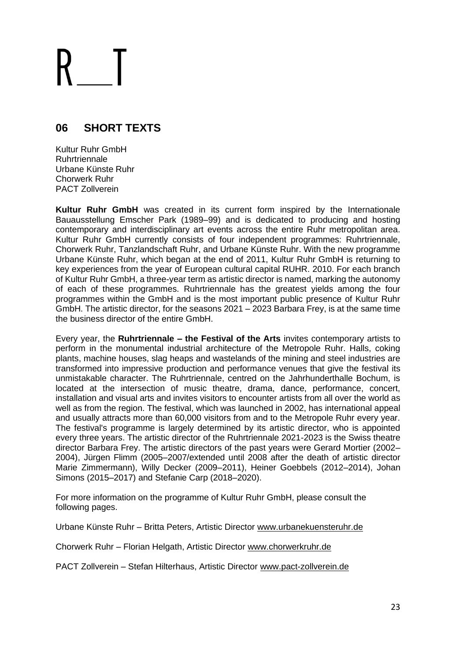# **06 SHORT TEXTS**

Kultur Ruhr GmbH **Ruhrtriennale** Urbane Künste Ruhr Chorwerk Ruhr PACT Zollverein

**Kultur Ruhr GmbH** was created in its current form inspired by the Internationale Bauausstellung Emscher Park (1989–99) and is dedicated to producing and hosting contemporary and interdisciplinary art events across the entire Ruhr metropolitan area. Kultur Ruhr GmbH currently consists of four independent programmes: Ruhrtriennale, Chorwerk Ruhr, Tanzlandschaft Ruhr, and Urbane Künste Ruhr. With the new programme Urbane Künste Ruhr, which began at the end of 2011, Kultur Ruhr GmbH is returning to key experiences from the year of European cultural capital RUHR. 2010. For each branch of Kultur Ruhr GmbH, a three-year term as artistic director is named, marking the autonomy of each of these programmes. Ruhrtriennale has the greatest yields among the four programmes within the GmbH and is the most important public presence of Kultur Ruhr GmbH. The artistic director, for the seasons 2021 – 2023 Barbara Frey, is at the same time the business director of the entire GmbH.

Every year, the **Ruhrtriennale – the Festival of the Arts** invites contemporary artists to perform in the monumental industrial architecture of the Metropole Ruhr. Halls, coking plants, machine houses, slag heaps and wastelands of the mining and steel industries are transformed into impressive production and performance venues that give the festival its unmistakable character. The Ruhrtriennale, centred on the Jahrhunderthalle Bochum, is located at the intersection of music theatre, drama, dance, performance, concert, installation and visual arts and invites visitors to encounter artists from all over the world as well as from the region. The festival, which was launched in 2002, has international appeal and usually attracts more than 60,000 visitors from and to the Metropole Ruhr every year. The festival's programme is largely determined by its artistic director, who is appointed every three years. The artistic director of the Ruhrtriennale 2021-2023 is the Swiss theatre director Barbara Frey. The artistic directors of the past years were Gerard Mortier (2002– 2004), Jürgen Flimm (2005–2007/extended until 2008 after the death of artistic director Marie Zimmermann), Willy Decker (2009–2011), Heiner Goebbels (2012–2014), Johan Simons (2015–2017) and Stefanie Carp (2018–2020).

For more information on the programme of Kultur Ruhr GmbH, please consult the following pages.

Urbane Künste Ruhr – Britta Peters, Artistic Director [www.urbanekuensteruhr.de](https://www.urbanekuensteruhr.de/en/stream/all)

Chorwerk Ruhr – Florian Helgath, Artistic Director [www.chorwerkruhr.de](http://www.chorwerkruhr.de/)

PACT Zollverein – Stefan Hilterhaus, Artistic Director [www.pact-zollverein.de](https://www.pact-zollverein.de/en)